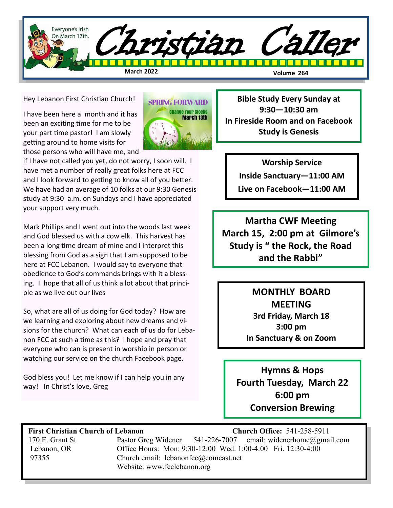

Hey Lebanon First Christian Church!

I have been here a month and it has been an exciting time for me to be your part time pastor! I am slowly getting around to home visits for those persons who will have me, and



if I have not called you yet, do not worry, I soon will. I have met a number of really great folks here at FCC and I look forward to getting to know all of you better. We have had an average of 10 folks at our 9:30 Genesis study at 9:30 a.m. on Sundays and I have appreciated your support very much.

Mark Phillips and I went out into the woods last week and God blessed us with a cow elk. This harvest has been a long time dream of mine and I interpret this blessing from God as a sign that I am supposed to be here at FCC Lebanon. I would say to everyone that obedience to God's commands brings with it a blessing. I hope that all of us think a lot about that principle as we live out our lives

So, what are all of us doing for God today? How are we learning and exploring about new dreams and visions for the church? What can each of us do for Lebanon FCC at such a time as this? I hope and pray that everyone who can is present in worship in person or watching our service on the church Facebook page.

God bless you! Let me know if I can help you in any way! In Christ's love, Greg

**Bible Study Every Sunday at 9:30—10:30 am In Fireside Room and on Facebook Study is Genesis** 

**Worship Service** 

**Inside Sanctuary—11:00 AM**

**Live on Facebook—11:00 AM**

**Martha CWF Meeting March 15, 2:00 pm at Gilmore's Study is " the Rock, the Road and the Rabbi"**

> **MONTHLY BOARD MEETING 3rd Friday, March 18 3:00 pm In Sanctuary & on Zoom**

**Hymns & Hops Fourth Tuesday, March 22 6:00 pm Conversion Brewing**

### **First Christian Church of Lebanon Church Office:** 541-258-5911

 170 E. Grant St Pastor Greg Widener 541-226-7007 email: widenerhome@gmail.com Lebanon, OR Office Hours: Mon: 9:30-12:00 Wed. 1:00-4:00 Fri. 12:30-4:00 97355 Church email: lebanonfcc@comcast.net Website: www.fcclebanon.org